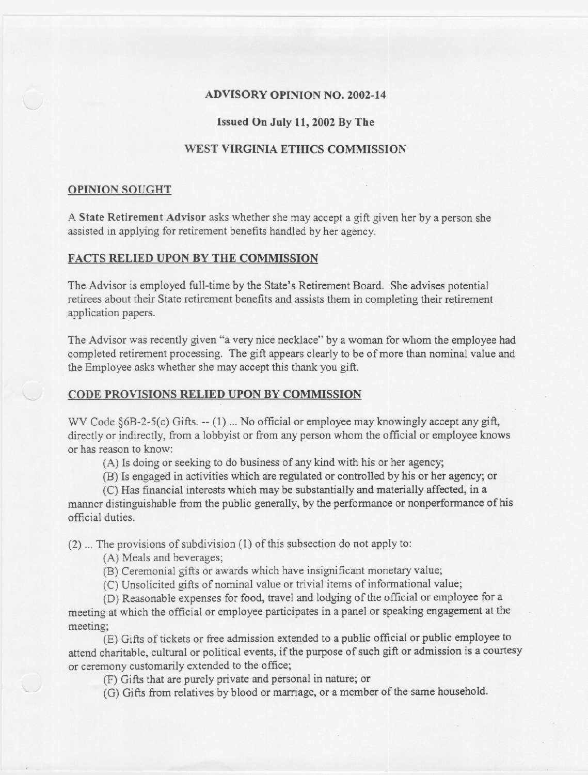## ADVISORY OPINION NO. 2002-14

## Issued On July 11,2002 By The

# WEST VIRGINIA ETHICS COMMISSION

## OPINION SOUGHT

A State Retirement Advisor asks whether she may accept a gift given her by a person she assisted in applying for retirement benefits handled by her agency.

### FACTS RELIED UPON BY THE COMMISSION

The Advisor is employed full-time by the State's Retirement Board. She advises potential retirees about their State retirement benefits and assists them in completing their retirement application papers.

The Advisor was recently given "a very nice necklace" by a woman for whom the employee had completed retirement processing. The gift appears clearly to be of more than nominal value and the Employee asks whether she may accept this thank you gift.

# CODE PROVISIONS RELIED UPON BY COMMISSION

WV Code  $\S6B-2-5(c)$  Gifts.  $-(-1)$ ... No official or employee may knowingly accept any gift, directly or indirectly, from a lobbyist or from any person whom the official or employee knows or has reason to know:

(A) Is doing or seeking to do business of any kind with his or her agency;

(B) Is engaged in activities which are regulated or controlled by his or her agency; or

(C) Has financial interests which may be substantially and materially affected, in a manner distinguishable from the public generally, by the performance or nonperformance of his official duties.

(2) ... The provisions of subdivision (1) of this subsection do not apply to:

(A) Meals and beverages;

(B) Ceremonial gifts or awards which have insignificant monetary value;

(C) Unsolicited gifts of nominal value or trivial items of informational value;

(D) Reasonable expenses for food, travel and lodging of the official or employee for a meeting at which the official or employee participates in a panel or speaking engagement at the meeting;

(E) Gifts of tickets or free admission extended to a public official or public employee to attend charitable, cultural or political events, if the purpose of such gift or admission is a courtesy or ceremony customarily extended to the office;

(F) Gifts that are purely private and personal in nature; or

(G) Gifts from relatives by blood or marriage, or a member of the same household.